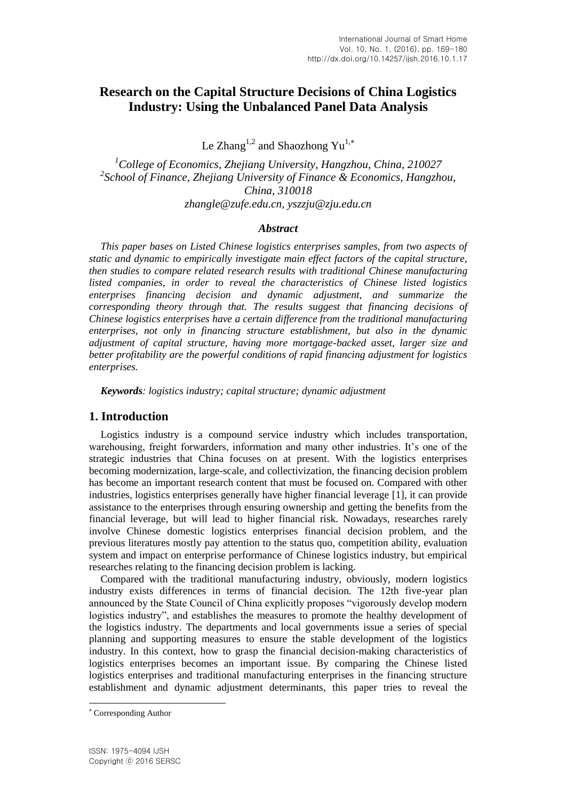# **Research on the Capital Structure Decisions of China Logistics Industry: Using the Unbalanced Panel Data Analysis**

Le Zhang<sup>1,2</sup> and Shaozhong Yu<sup>1,\*</sup>

*<sup>1</sup>College of Economics, Zhejiang University, Hangzhou, China, 210027 2 School of Finance, Zhejiang University of Finance & Economics, Hangzhou, China, 310018 [zhangle@zufe.edu.cn,](mailto:zhangle@zufe.edu.cn) [yszzju@zju.edu.cn](mailto:yszzju@zju.edu.cn)*

### *Abstract*

*This paper bases on Listed Chinese logistics enterprises samples, from two aspects of static and dynamic to empirically investigate main effect factors of the capital structure, then studies to compare related research results with traditional Chinese manufacturing listed companies, in order to reveal the characteristics of Chinese listed logistics enterprises financing decision and dynamic adjustment, and summarize the corresponding theory through that. The results suggest that financing decisions of Chinese logistics enterprises have a certain difference from the traditional manufacturing enterprises, not only in financing structure establishment, but also in the dynamic adjustment of capital structure, having more mortgage-backed asset, larger size and better profitability are the powerful conditions of rapid financing adjustment for logistics enterprises.*

*Keywords: logistics industry; capital structure; dynamic adjustment*

# **1. Introduction**

Logistics industry is a compound service industry which includes transportation, warehousing, freight forwarders, information and many other industries. It's one of the strategic industries that China focuses on at present. With the logistics enterprises becoming modernization, large-scale, and collectivization, the financing decision problem has become an important research content that must be focused on. Compared with other industries, logistics enterprises generally have higher financial leverage  $\overline{11}$ , it can provide assistance to the enterprises through ensuring ownership and getting the benefits from the financial leverage, but will lead to higher financial risk. Nowadays, researches rarely involve Chinese domestic logistics enterprises financial decision problem, and the previous literatures mostly pay attention to the status quo, competition ability, evaluation system and impact on enterprise performance of Chinese logistics industry, but empirical researches relating to the financing decision problem is lacking.

Compared with the traditional manufacturing industry, obviously, modern logistics industry exists differences in terms of financial decision. The 12th five-year plan announced by the State Council of China explicitly proposes "vigorously develop modern logistics industry", and establishes the measures to promote the healthy development of the logistics industry. The departments and local governments issue a series of special planning and supporting measures to ensure the stable development of the logistics industry. In this context, how to grasp the financial decision-making characteristics of logistics enterprises becomes an important issue. By comparing the Chinese listed logistics enterprises and traditional manufacturing enterprises in the financing structure establishment and dynamic adjustment determinants, this paper tries to reveal the

l

Corresponding Author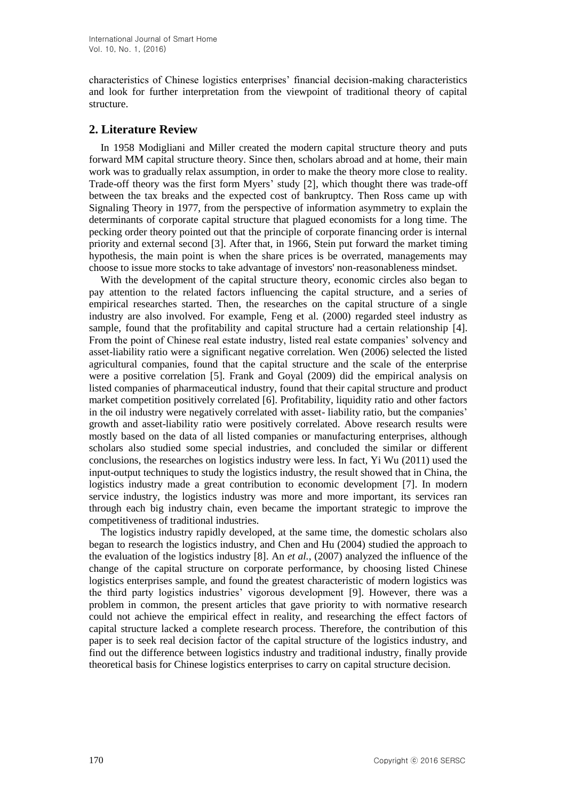characteristics of Chinese logistics enterprises' financial decision-making characteristics and look for further interpretation from the viewpoint of traditional theory of capital structure.

# **2. Literature Review**

In 1958 Modigliani and Miller created the modern capital structure theory and puts forward MM capital structure theory. Since then, scholars abroad and at home, their main work was to gradually relax assumption, in order to make the theory more close to reality. Trade-off theory was the first form Myers' study [2], which thought there was trade-off between the tax breaks and the expected cost of bankruptcy. Then Ross came up with Signaling Theory in 1977, from the perspective of information asymmetry to explain the determinants of corporate capital structure that plagued economists for a long time. The pecking order theory pointed out that the principle of corporate financing order is internal priority and external second [3]. After that, in 1966, Stein put forward the market timing hypothesis, the main point is when the share prices is be overrated, managements may choose to issue more stocks to take advantage of investors' non-reasonableness mindset.

With the development of the capital structure theory, economic circles also began to pay attention to the related factors influencing the capital structure, and a series of empirical researches started. Then, the researches on the capital structure of a single industry are also involved. For example, Feng et al. (2000) regarded steel industry as sample, found that the profitability and capital structure had a certain relationship [4]. From the point of Chinese real estate industry, listed real estate companies' solvency and asset-liability ratio were a significant negative correlation. Wen (2006) selected the listed agricultural companies, found that the capital structure and the scale of the enterprise were a positive correlation [5]. Frank and Goyal (2009) did the empirical analysis on listed companies of pharmaceutical industry, found that their capital structure and product market competition positively correlated [6]. Profitability, liquidity ratio and other factors in the oil industry were negatively correlated with asset- liability ratio, but the companies' growth and asset-liability ratio were positively correlated. Above research results were mostly based on the data of all listed companies or manufacturing enterprises, although scholars also studied some special industries, and concluded the similar or different conclusions, the researches on logistics industry were less. In fact, Yi Wu (2011) used the input-output techniques to study the logistics industry, the result showed that in China, the logistics industry made a great contribution to economic development [7]. In modern service industry, the logistics industry was more and more important, its services ran through each big industry chain, even became the important strategic to improve the competitiveness of traditional industries.

The logistics industry rapidly developed, at the same time, the domestic scholars also began to research the logistics industry, and Chen and Hu (2004) studied the approach to the evaluation of the logistics industry [8]. An *et al.*, (2007) analyzed the influence of the change of the capital structure on corporate performance, by choosing listed Chinese logistics enterprises sample, and found the greatest characteristic of modern logistics was the third party logistics industries' vigorous development [9]. However, there was a problem in common, the present articles that gave priority to with normative research could not achieve the empirical effect in reality, and researching the effect factors of capital structure lacked a complete research process. Therefore, the contribution of this paper is to seek real decision factor of the capital structure of the logistics industry, and find out the difference between logistics industry and traditional industry, finally provide theoretical basis for Chinese logistics enterprises to carry on capital structure decision.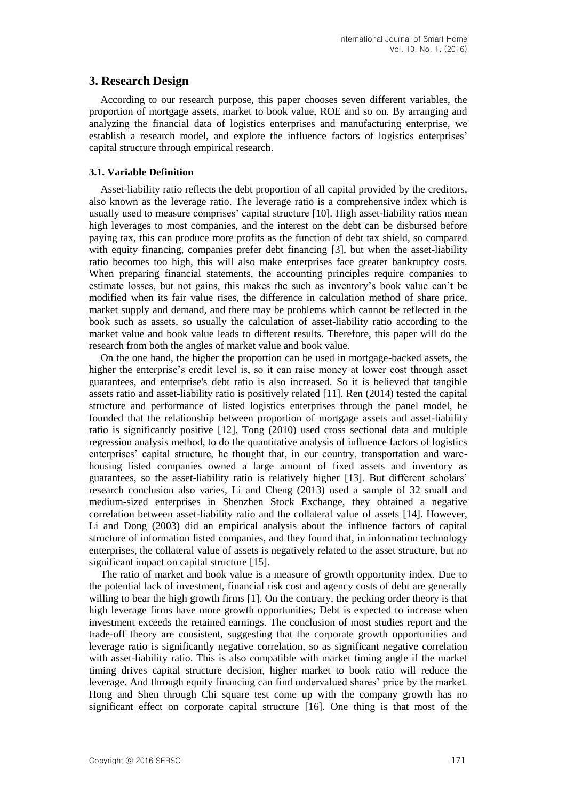### **3. Research Design**

According to our research purpose, this paper chooses seven different variables, the proportion of mortgage assets, market to book value, ROE and so on. By arranging and analyzing the financial data of logistics enterprises and manufacturing enterprise, we establish a research model, and explore the influence factors of logistics enterprises' capital structure through empirical research.

### **3.1. Variable Definition**

Asset-liability ratio reflects the debt proportion of all capital provided by the creditors, also known as the leverage ratio. The leverage ratio is a comprehensive index which is usually used to measure comprises' capital structure [10]. High asset-liability ratios mean high leverages to most companies, and the interest on the debt can be disbursed before paying tax, this can produce more profits as the function of debt tax shield, so compared with equity financing, companies prefer debt financing [3], but when the asset-liability ratio becomes too high, this will also make enterprises face greater bankruptcy costs. When preparing financial statements, the accounting principles require companies to estimate losses, but not gains, this makes the such as inventory's book value can't be modified when its fair value rises, the difference in calculation method of share price, market supply and demand, and there may be problems which cannot be reflected in the book such as assets, so usually the calculation of asset-liability ratio according to the market value and book value leads to different results. Therefore, this paper will do the research from both the angles of market value and book value.

On the one hand, the higher the proportion can be used in mortgage-backed assets, the higher the enterprise's credit level is, so it can raise money at lower cost through asset guarantees, and enterprise's debt ratio is also increased. So it is believed that tangible assets ratio and asset-liability ratio is positively related [11]. Ren (2014) tested the capital structure and performance of listed logistics enterprises through the panel model, he founded that the relationship between proportion of mortgage assets and asset-liability ratio is significantly positive [12]. Tong (2010) used cross sectional data and multiple regression analysis method, to do the quantitative analysis of influence factors of logistics enterprises' capital structure, he thought that, in our country, transportation and warehousing listed companies owned a large amount of fixed assets and inventory as guarantees, so the asset-liability ratio is relatively higher [13]. But different scholars' research conclusion also varies, Li and Cheng (2013) used a sample of 32 small and medium-sized enterprises in Shenzhen Stock Exchange, they obtained a negative correlation between asset-liability ratio and the collateral value of assets [14]. However, Li and Dong (2003) did an empirical analysis about the influence factors of capital structure of information listed companies, and they found that, in information technology enterprises, the collateral value of assets is negatively related to the asset structure, but no significant impact on capital structure [15].

The ratio of market and book value is a measure of growth opportunity index. Due to the potential lack of investment, financial risk cost and agency costs of debt are generally willing to bear the high growth firms [1]. On the contrary, the pecking order theory is that high leverage firms have more growth opportunities; Debt is expected to increase when investment exceeds the retained earnings. The conclusion of most studies report and the trade-off theory are consistent, suggesting that the corporate growth opportunities and leverage ratio is significantly negative correlation, so as significant negative correlation with asset-liability ratio. This is also compatible with market timing angle if the market timing drives capital structure decision, higher market to book ratio will reduce the leverage. And through equity financing can find undervalued shares' price by the market. Hong and Shen through Chi square test come up with the company growth has no significant effect on corporate capital structure [16]. One thing is that most of the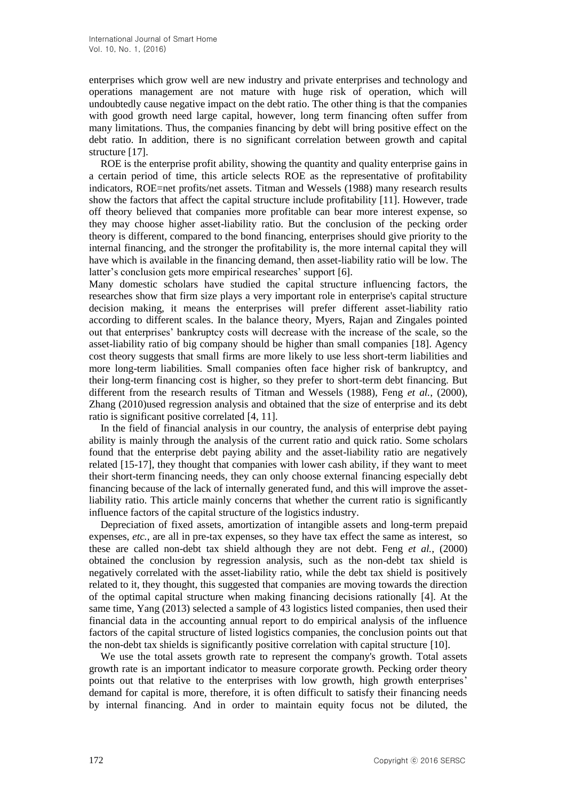enterprises which grow well are new industry and private enterprises and technology and operations management are not mature with huge risk of operation, which will undoubtedly cause negative impact on the debt ratio. The other thing is that the companies with good growth need large capital, however, long term financing often suffer from many limitations. Thus, the companies financing by debt will bring positive effect on the debt ratio. In addition, there is no significant correlation between growth and capital structure [17].

ROE is the enterprise profit ability, showing the quantity and quality enterprise gains in a certain period of time, this article selects ROE as the representative of profitability indicators, ROE=net profits/net assets. Titman and Wessels (1988) many research results show the factors that affect the capital structure include profitability [11]. However, trade off theory believed that companies more profitable can bear more interest expense, so they may choose higher asset-liability ratio. But the conclusion of the pecking order theory is different, compared to the bond financing, enterprises should give priority to the internal financing, and the stronger the profitability is, the more internal capital they will have which is available in the financing demand, then asset-liability ratio will be low. The latter's conclusion gets more empirical researches' support [6].

Many domestic scholars have studied the capital structure influencing factors, the researches show that firm size plays a very important role in enterprise's capital structure decision making, it means the enterprises will prefer different asset-liability ratio according to different scales. In the balance theory, Myers, Rajan and Zingales pointed out that enterprises' bankruptcy costs will decrease with the increase of the scale, so the asset-liability ratio of big company should be higher than small companies [18]. Agency cost theory suggests that small firms are more likely to use less short-term liabilities and more long-term liabilities. Small companies often face higher risk of bankruptcy, and their long-term financing cost is higher, so they prefer to short-term debt financing. But different from the research results of Titman and Wessels (1988), Feng *et al.*, (2000), Zhang (2010)used regression analysis and obtained that the size of enterprise and its debt ratio is significant positive correlated [4, 11].

In the field of financial analysis in our country, the analysis of enterprise debt paying ability is mainly through the analysis of the current ratio and quick ratio. Some scholars found that the enterprise debt paying ability and the asset-liability ratio are negatively related [15-17], they thought that companies with lower cash ability, if they want to meet their short-term financing needs, they can only choose external financing especially debt financing because of the lack of internally generated fund, and this will improve the assetliability ratio. This article mainly concerns that whether the current ratio is significantly influence factors of the capital structure of the logistics industry.

Depreciation of fixed assets, amortization of intangible assets and long-term prepaid expenses, *etc.*, are all in pre-tax expenses, so they have tax effect the same as interest, so these are called non-debt tax shield although they are not debt. Feng *et al.*, (2000) obtained the conclusion by regression analysis, such as the non-debt tax shield is negatively correlated with the asset-liability ratio, while the debt tax shield is positively related to it, they thought, this suggested that companies are moving towards the direction of the optimal capital structure when making financing decisions rationally [4]. At the same time, Yang (2013) selected a sample of 43 logistics listed companies, then used their financial data in the accounting annual report to do empirical analysis of the influence factors of the capital structure of listed logistics companies, the conclusion points out that the non-debt tax shields is significantly positive correlation with capital structure [10].

We use the total assets growth rate to represent the company's growth. Total assets growth rate is an important indicator to measure corporate growth. Pecking order theory points out that relative to the enterprises with low growth, high growth enterprises' demand for capital is more, therefore, it is often difficult to satisfy their financing needs by internal financing. And in order to maintain equity focus not be diluted, the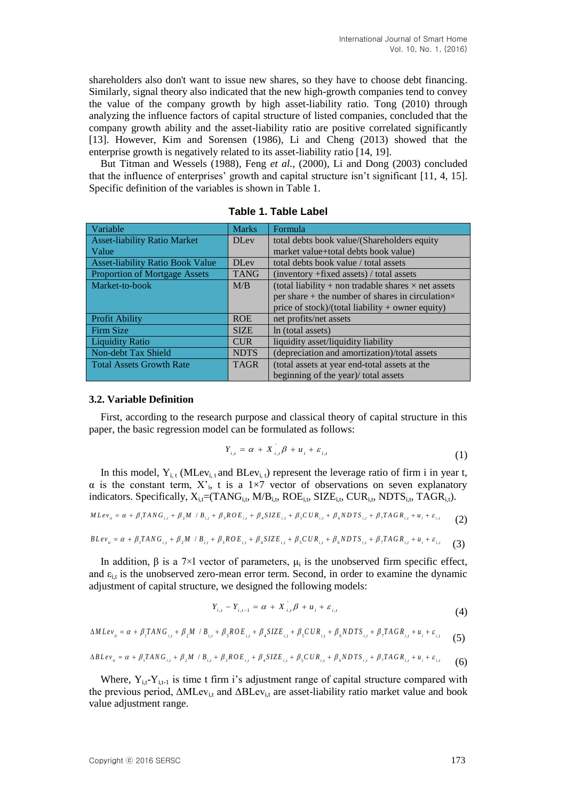shareholders also don't want to issue new shares, so they have to choose debt financing. Similarly, signal theory also indicated that the new high-growth companies tend to convey the value of the company growth by high asset-liability ratio. Tong (2010) through analyzing the influence factors of capital structure of listed companies, concluded that the company growth ability and the asset-liability ratio are positive correlated significantly [13]. However, Kim and Sorensen (1986), Li and Cheng (2013) showed that the enterprise growth is negatively related to its asset-liability ratio [14, 19].

But Titman and Wessels (1988), Feng *et al.*, (2000), Li and Dong (2003) concluded that the influence of enterprises' growth and capital structure isn't significant [11, 4, 15]. Specific definition of the variables is shown in Table 1.

| Variable                                | <b>Marks</b> | Formula                                                    |  |  |
|-----------------------------------------|--------------|------------------------------------------------------------|--|--|
| <b>Asset-liability Ratio Market</b>     | <b>DLev</b>  | total debts book value/(Shareholders equity)               |  |  |
| Value                                   |              | market value+total debts book value)                       |  |  |
| <b>Asset-liability Ratio Book Value</b> | <b>DLev</b>  | total debts book value / total assets                      |  |  |
| <b>Proportion of Mortgage Assets</b>    | <b>TANG</b>  | $(inventory + fixed assets) / total assets$                |  |  |
| Market-to-book                          | M/B          | (total liability + non tradable shares $\times$ net assets |  |  |
|                                         |              | per share + the number of shares in circulation $\times$   |  |  |
|                                         |              | price of stock)/(total liability $+$ owner equity)         |  |  |
| <b>Profit Ability</b>                   | <b>ROE</b>   | net profits/net assets                                     |  |  |
| Firm Size                               | <b>SIZE</b>  | In (total assets)                                          |  |  |
| <b>Liquidity Ratio</b>                  | <b>CUR</b>   | liquidity asset/liquidity liability                        |  |  |
| Non-debt Tax Shield                     | <b>NDTS</b>  | (depreciation and amortization)/total assets               |  |  |
| <b>Total Assets Growth Rate</b>         | <b>TAGR</b>  | (total assets at year end-total assets at the              |  |  |
|                                         |              | beginning of the year)/ total assets                       |  |  |

**Table 1. Table Label**

#### **3.2. Variable Definition**

First, according to the research purpose and classical theory of capital structure in this paper, the basic regression model can be formulated as follows:

$$
Y_{i,t} = \alpha + X_{i,t} \beta + u_i + \varepsilon_{i,t}
$$
 (1)

In this model,  $Y_{i,t}$  (MLev<sub>i, t</sub> and BLev<sub>i, t</sub>) represent the leverage ratio of firm i in year t,  $\alpha$  is the constant term,  $X'$ <sub>i</sub>, t is a 1×7 vector of observations on seven explanatory indicators. Specifically,  $X_{i,t}=(TANG_{i,t}, MP_{i,t}, ROE_{i,t}, SIZE_{i,t}, CUR_{i,t}, NDTS_{i,t}, TAGR_{i,t}).$  $\alpha$  is the constant term,  $X_i$ , t is a 1×7 vector of observations on seven explanatory<br>indicators. Specifically,  $X_{i,t} = (TANG_{i,t}, M/B_{i,t}, ROE_{i,t}, SIZE_{i,t}, CUR_{i,t}, NDFS_{i,t}, TAGR_{i,t})$ .<br> $MLev_{ii} = \alpha + \beta_i TANG_{i,t} + \beta_i M / B_{i,t} + \beta_i ROE_{i,t} + \beta_i SIZE_{i,t} + \beta$ 

$$
M L e v_{ii} = \alpha + \beta_1 T A N G_{i,t} + \beta_2 M / B_{i,t} + \beta_3 R O E_{i,t} + \beta_4 S I Z E_{i,t} + \beta_5 C U R_{i,t} + \beta_6 N D T S_{i,t} + \beta_7 T A G R_{i,t} + u_i + \varepsilon_{i,t}
$$
 (2)

$$
MLev_{ii} = \alpha + \beta_1 TANG_{i,t} + \beta_2 M / B_{i,t} + \beta_3 ROE_{i,t} + \beta_4 SIZE_{i,t} + \beta_5 CUR_{i,t} + \beta_6 NDFS_{i,t} + \beta_7 TAGR_{i,t} + u_i + \varepsilon_{i,t}
$$
  
\n(2)  
\n
$$
BLev_{ii} = \alpha + \beta_1 TANG_{i,t} + \beta_2 M / B_{i,t} + \beta_3 ROE_{i,t} + \beta_4 SIZE_{i,t} + \beta_5 CUR_{i,t} + \beta_6 NDFS_{i,t} + \beta_7 TAGR_{i,t} + u_i + \varepsilon_{i,t}
$$
 (3)

In addition,  $\beta$  is a 7×l vector of parameters,  $\mu_i$  is the unobserved firm specific effect, and  $\varepsilon_{i,t}$  is the unobserved zero-mean error term. Second, in order to examine the dynamic adjustment of capital structure, we designed the following models:

$$
Y_{i,t} - Y_{i,t-1} = \alpha + X_{i,t} \beta + u_i + \varepsilon_{i,t}
$$
 (4)

$$
Y_{i,t} - Y_{i,t-1} = \alpha + X_{i,t} \beta + u_i + \varepsilon_{i,t}
$$
\n(4)  
\n
$$
\Delta M L e_{i} = \alpha + \beta_1 T A N G_{i,t} + \beta_2 M / B_{i,t} + \beta_3 R O E_{i,t} + \beta_4 S I Z E_{i,t} + \beta_5 C U R_{i,t} + \beta_6 N D T S_{i,t} + \beta_7 T A G R_{i,t} + u_i + \varepsilon_{i,t}
$$
\n(5)

$$
\Delta M Lev_{ii} = \alpha + \beta_1 TANG_{i,t} + \beta_2 M / B_{i,t} + \beta_3 ROE_{i,t} + \beta_4 SIZE_{i,t} + \beta_5 CUR_{i,t} + \beta_6 NDTS_{i,t} + \beta_7 TAGR_{i,t} + u_i + \varepsilon_{i,t}
$$
 (5)  
\n
$$
\Delta B Lev_{ii} = \alpha + \beta_1 TANG_{i,t} + \beta_2 M / B_{i,t} + \beta_3 ROE_{i,t} + \beta_4 SIZE_{i,t} + \beta_5 CUR_{i,t} + \beta_6 NDTS_{i,t} + \beta_7 TAGR_{i,t} + u_i + \varepsilon_{i,t}
$$
 (6)

Where,  $Y_{i,t} - Y_{i,t-1}$  is time t firm i's adjustment range of capital structure compared with the previous period,  $\Delta M \text{Lev}_{i,t}$  and  $\Delta B \text{Lev}_{i,t}$  are asset-liability ratio market value and book value adjustment range.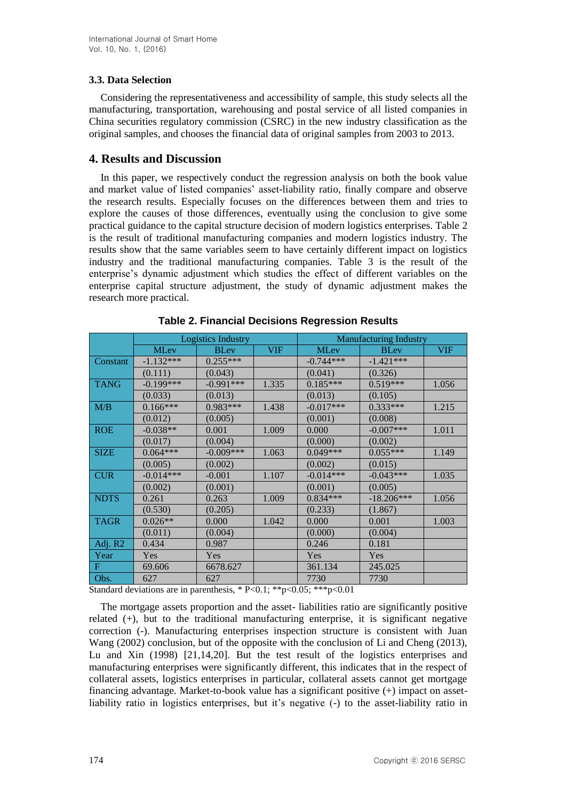# **3.3. Data Selection**

Considering the representativeness and accessibility of sample, this study selects all the manufacturing, transportation, warehousing and postal service of all listed companies in China securities regulatory commission (CSRC) in the new industry classification as the original samples, and chooses the financial data of original samples from 2003 to 2013.

# **4. Results and Discussion**

In this paper, we respectively conduct the regression analysis on both the book value and market value of listed companies' asset-liability ratio, finally compare and observe the research results. Especially focuses on the differences between them and tries to explore the causes of those differences, eventually using the conclusion to give some practical guidance to the capital structure decision of modern logistics enterprises. Table 2 is the result of traditional manufacturing companies and modern logistics industry. The results show that the same variables seem to have certainly different impact on logistics industry and the traditional manufacturing companies. Table 3 is the result of the enterprise's dynamic adjustment which studies the effect of different variables on the enterprise capital structure adjustment, the study of dynamic adjustment makes the research more practical.

|             | Logistics Industry |             |            | <b>Manufacturing Industry</b> |              |            |
|-------------|--------------------|-------------|------------|-------------------------------|--------------|------------|
|             | <b>MLev</b>        | <b>BLev</b> | <b>VIF</b> | <b>MLev</b>                   | <b>BLev</b>  | <b>VIF</b> |
| Constant    | $-1.132***$        | $0.255***$  |            | $-0.744***$                   | $-1.421***$  |            |
|             | (0.111)            | (0.043)     |            | (0.041)                       | (0.326)      |            |
| <b>TANG</b> | $-0.199***$        | $-0.991***$ | 1.335      | $0.185***$                    | $0.519***$   | 1.056      |
|             | (0.033)            | (0.013)     |            | (0.013)                       | (0.105)      |            |
| M/B         | $0.166***$         | $0.983***$  | 1.438      | $-0.017***$                   | $0.333***$   | 1.215      |
|             | (0.012)            | (0.005)     |            | (0.001)                       | (0.008)      |            |
| <b>ROE</b>  | $-0.038**$         | 0.001       | 1.009      | 0.000                         | $-0.007***$  | 1.011      |
|             | (0.017)            | (0.004)     |            | (0.000)                       | (0.002)      |            |
| <b>SIZE</b> | $0.064***$         | $-0.009***$ | 1.063      | $0.049***$                    | $0.055***$   | 1.149      |
|             | (0.005)            | (0.002)     |            | (0.002)                       | (0.015)      |            |
| <b>CUR</b>  | $-0.014***$        | $-0.001$    | 1.107      | $-0.014***$                   | $-0.043***$  | 1.035      |
|             | (0.002)            | (0.001)     |            | (0.001)                       | (0.005)      |            |
| <b>NDTS</b> | 0.261              | 0.263       | 1.009      | $0.834***$                    | $-18.206***$ | 1.056      |
|             | (0.530)            | (0.205)     |            | (0.233)                       | (1.867)      |            |
| <b>TAGR</b> | $0.026**$          | 0.000       | 1.042      | 0.000                         | 0.001        | 1.003      |
|             | (0.011)            | (0.004)     |            | (0.000)                       | (0.004)      |            |
| Adj. R2     | 0.434              | 0.987       |            | 0.246                         | 0.181        |            |
| Year        | Yes                | Yes         |            | <b>Yes</b>                    | <b>Yes</b>   |            |
| F           | 69.606             | 6678.627    |            | 361.134                       | 245.025      |            |
| Obs.        | 627                | 627         |            | 7730                          | 7730         |            |

**Table 2. Financial Decisions Regression Results**

Standard deviations are in parenthesis,  $*P<0.1$ ;  $**p<0.05$ ;  $**p<0.01$ 

The mortgage assets proportion and the asset- liabilities ratio are significantly positive related (+), but to the traditional manufacturing enterprise, it is significant negative correction (-). Manufacturing enterprises inspection structure is consistent with Juan Wang (2002) conclusion, but of the opposite with the conclusion of Li and Cheng (2013), Lu and Xin (1998) [21,14,20]. But the test result of the logistics enterprises and manufacturing enterprises were significantly different, this indicates that in the respect of collateral assets, logistics enterprises in particular, collateral assets cannot get mortgage financing advantage. Market-to-book value has a significant positive (+) impact on assetliability ratio in logistics enterprises, but it's negative (-) to the asset-liability ratio in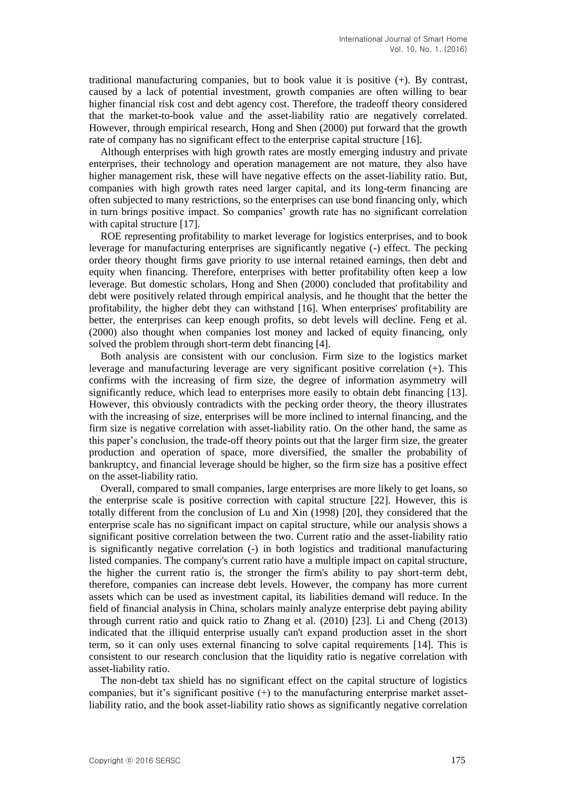traditional manufacturing companies, but to book value it is positive (+). By contrast, caused by a lack of potential investment, growth companies are often willing to bear higher financial risk cost and debt agency cost. Therefore, the tradeoff theory considered that the market-to-book value and the asset-liability ratio are negatively correlated. However, through empirical research, Hong and Shen (2000) put forward that the growth rate of company has no significant effect to the enterprise capital structure [16].

Although enterprises with high growth rates are mostly emerging industry and private enterprises, their technology and operation management are not mature, they also have higher management risk, these will have negative effects on the asset-liability ratio. But, companies with high growth rates need larger capital, and its long-term financing are often subjected to many restrictions, so the enterprises can use bond financing only, which in turn brings positive impact. So companies' growth rate has no significant correlation with capital structure [17].

ROE representing profitability to market leverage for logistics enterprises, and to book leverage for manufacturing enterprises are significantly negative (-) effect. The pecking order theory thought firms gave priority to use internal retained earnings, then debt and equity when financing. Therefore, enterprises with better profitability often keep a low leverage. But domestic scholars, Hong and Shen (2000) concluded that profitability and debt were positively related through empirical analysis, and he thought that the better the profitability, the higher debt they can withstand [16]. When enterprises' profitability are better, the enterprises can keep enough profits, so debt levels will decline. Feng et al. (2000) also thought when companies lost money and lacked of equity financing, only solved the problem through short-term debt financing [4].

Both analysis are consistent with our conclusion. Firm size to the logistics market leverage and manufacturing leverage are very significant positive correlation (+). This confirms with the increasing of firm size, the degree of information asymmetry will significantly reduce, which lead to enterprises more easily to obtain debt financing [13]. However, this obviously contradicts with the pecking order theory, the theory illustrates with the increasing of size, enterprises will be more inclined to internal financing, and the firm size is negative correlation with asset-liability ratio. On the other hand, the same as this paper's conclusion, the trade-off theory points out that the larger firm size, the greater production and operation of space, more diversified, the smaller the probability of bankruptcy, and financial leverage should be higher, so the firm size has a positive effect on the asset-liability ratio.

Overall, compared to small companies, large enterprises are more likely to get loans, so the enterprise scale is positive correction with capital structure [22]. However, this is totally different from the conclusion of Lu and Xin (1998) [20], they considered that the enterprise scale has no significant impact on capital structure, while our analysis shows a significant positive correlation between the two. Current ratio and the asset-liability ratio is significantly negative correlation (-) in both logistics and traditional manufacturing listed companies. The company's current ratio have a multiple impact on capital structure, the higher the current ratio is, the stronger the firm's ability to pay short-term debt, therefore, companies can increase debt levels. However, the company has more current assets which can be used as investment capital, its liabilities demand will reduce. In the field of financial analysis in China, scholars mainly analyze enterprise debt paying ability through current ratio and quick ratio to Zhang et al. (2010) [23]. Li and Cheng (2013) indicated that the illiquid enterprise usually can't expand production asset in the short term, so it can only uses external financing to solve capital requirements [14]. This is consistent to our research conclusion that the liquidity ratio is negative correlation with asset-liability ratio.

The non-debt tax shield has no significant effect on the capital structure of logistics companies, but it's significant positive  $(+)$  to the manufacturing enterprise market assetliability ratio, and the book asset-liability ratio shows as significantly negative correlation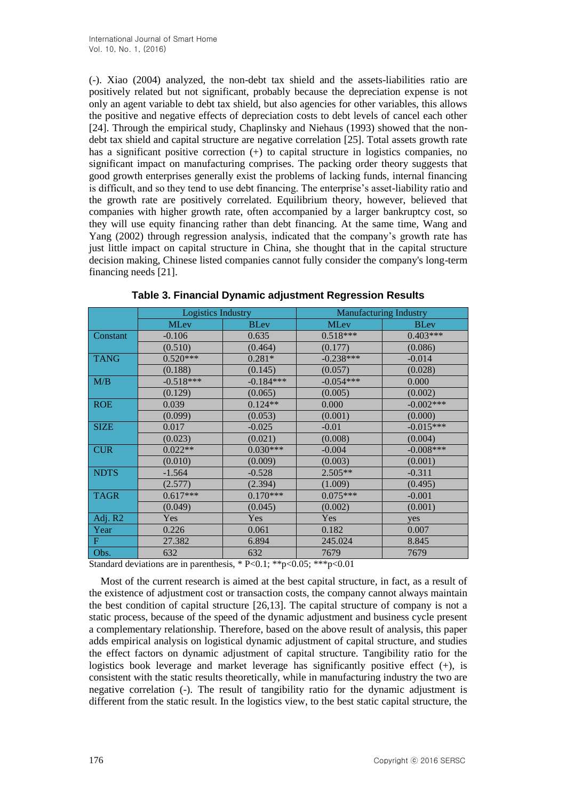(-). Xiao (2004) analyzed, the non-debt tax shield and the assets-liabilities ratio are positively related but not significant, probably because the depreciation expense is not only an agent variable to debt tax shield, but also agencies for other variables, this allows the positive and negative effects of depreciation costs to debt levels of cancel each other [24]. Through the empirical study, Chaplinsky and Niehaus (1993) showed that the nondebt tax shield and capital structure are negative correlation [25]. Total assets growth rate has a significant positive correction (+) to capital structure in logistics companies, no significant impact on manufacturing comprises. The packing order theory suggests that good growth enterprises generally exist the problems of lacking funds, internal financing is difficult, and so they tend to use debt financing. The enterprise's asset-liability ratio and the growth rate are positively correlated. Equilibrium theory, however, believed that companies with higher growth rate, often accompanied by a larger bankruptcy cost, so they will use equity financing rather than debt financing. At the same time, Wang and Yang (2002) through regression analysis, indicated that the company's growth rate has just little impact on capital structure in China, she thought that in the capital structure decision making, Chinese listed companies cannot fully consider the company's long-term financing needs [21].

|             | <b>Logistics Industry</b> |             | <b>Manufacturing Industry</b> |             |  |
|-------------|---------------------------|-------------|-------------------------------|-------------|--|
|             | <b>MLev</b>               | <b>BLev</b> | <b>MLev</b>                   | <b>BLev</b> |  |
| Constant    | $-0.106$                  | 0.635       | $0.518***$                    | $0.403***$  |  |
|             | (0.510)                   | (0.464)     | (0.177)                       | (0.086)     |  |
| <b>TANG</b> | $0.520***$                | $0.281*$    | $-0.238***$                   | $-0.014$    |  |
|             | (0.188)                   | (0.145)     | (0.057)                       | (0.028)     |  |
| M/B         | $-0.518***$               | $-0.184***$ | $-0.054***$                   | 0.000       |  |
|             | (0.129)                   | (0.065)     | (0.005)                       | (0.002)     |  |
| <b>ROE</b>  | 0.039                     | $0.124**$   | 0.000                         | $-0.002***$ |  |
|             | (0.099)                   | (0.053)     | (0.001)                       | (0.000)     |  |
| <b>SIZE</b> | 0.017                     | $-0.025$    | $-0.01$                       | $-0.015***$ |  |
|             | (0.023)                   | (0.021)     | (0.008)                       | (0.004)     |  |
| <b>CUR</b>  | $0.022**$                 | $0.030***$  | $-0.004$                      | $-0.008***$ |  |
|             | (0.010)                   | (0.009)     | (0.003)                       | (0.001)     |  |
| <b>NDTS</b> | $-1.564$                  | $-0.528$    | $2.505**$                     | $-0.311$    |  |
|             | (2.577)                   | (2.394)     | (1.009)                       | (0.495)     |  |
| <b>TAGR</b> | $0.617***$                | $0.170***$  | $0.075***$                    | $-0.001$    |  |
|             | (0.049)                   | (0.045)     | (0.002)                       | (0.001)     |  |
| Adj. R2     | Yes                       | Yes         | Yes                           | yes         |  |
| Year        | 0.226                     | 0.061       | 0.182                         | 0.007       |  |
| F           | 27.382                    | 6.894       | 245.024                       | 8.845       |  |
| Obs.        | 632                       | 632         | 7679                          | 7679        |  |

**Table 3. Financial Dynamic adjustment Regression Results**

Standard deviations are in parenthesis, \* P<0.1; \*\*p<0.05; \*\*\*p<0.01

Most of the current research is aimed at the best capital structure, in fact, as a result of the existence of adjustment cost or transaction costs, the company cannot always maintain the best condition of capital structure [26,13]. The capital structure of company is not a static process, because of the speed of the dynamic adjustment and business cycle present a complementary relationship. Therefore, based on the above result of analysis, this paper adds empirical analysis on logistical dynamic adjustment of capital structure, and studies the effect factors on dynamic adjustment of capital structure. Tangibility ratio for the logistics book leverage and market leverage has significantly positive effect (+), is consistent with the static results theoretically, while in manufacturing industry the two are negative correlation (-). The result of tangibility ratio for the dynamic adjustment is different from the static result. In the logistics view, to the best static capital structure, the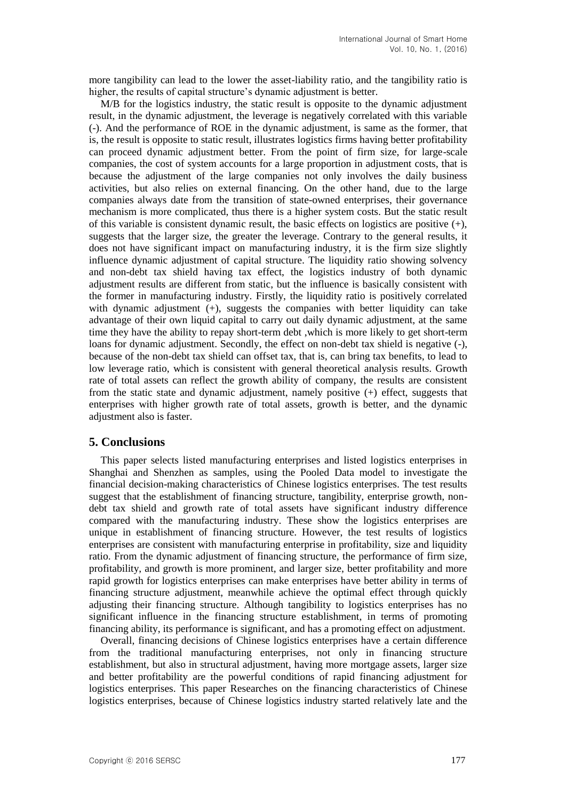more tangibility can lead to the lower the asset-liability ratio, and the tangibility ratio is higher, the results of capital structure's dynamic adjustment is better.

M/B for the logistics industry, the static result is opposite to the dynamic adjustment result, in the dynamic adjustment, the leverage is negatively correlated with this variable (-). And the performance of ROE in the dynamic adjustment, is same as the former, that is, the result is opposite to static result, illustrates logistics firms having better profitability can proceed dynamic adjustment better. From the point of firm size, for large-scale companies, the cost of system accounts for a large proportion in adjustment costs, that is because the adjustment of the large companies not only involves the daily business activities, but also relies on external financing. On the other hand, due to the large companies always date from the transition of state-owned enterprises, their governance mechanism is more complicated, thus there is a higher system costs. But the static result of this variable is consistent dynamic result, the basic effects on logistics are positive  $(+)$ , suggests that the larger size, the greater the leverage. Contrary to the general results, it does not have significant impact on manufacturing industry, it is the firm size slightly influence dynamic adjustment of capital structure. The liquidity ratio showing solvency and non-debt tax shield having tax effect, the logistics industry of both dynamic adjustment results are different from static, but the influence is basically consistent with the former in manufacturing industry. Firstly, the liquidity ratio is positively correlated with dynamic adjustment (+), suggests the companies with better liquidity can take advantage of their own liquid capital to carry out daily dynamic adjustment, at the same time they have the ability to repay short-term debt ,which is more likely to get short-term loans for dynamic adjustment. Secondly, the effect on non-debt tax shield is negative (-), because of the non-debt tax shield can offset tax, that is, can bring tax benefits, to lead to low leverage ratio, which is consistent with general theoretical analysis results. Growth rate of total assets can reflect the growth ability of company, the results are consistent from the static state and dynamic adjustment, namely positive (+) effect, suggests that enterprises with higher growth rate of total assets, growth is better, and the dynamic adjustment also is faster.

### **5. Conclusions**

This paper selects listed manufacturing enterprises and listed logistics enterprises in Shanghai and Shenzhen as samples, using the Pooled Data model to investigate the financial decision-making characteristics of Chinese logistics enterprises. The test results suggest that the establishment of financing structure, tangibility, enterprise growth, nondebt tax shield and growth rate of total assets have significant industry difference compared with the manufacturing industry. These show the logistics enterprises are unique in establishment of financing structure. However, the test results of logistics enterprises are consistent with manufacturing enterprise in profitability, size and liquidity ratio. From the dynamic adjustment of financing structure, the performance of firm size, profitability, and growth is more prominent, and larger size, better profitability and more rapid growth for logistics enterprises can make enterprises have better ability in terms of financing structure adjustment, meanwhile achieve the optimal effect through quickly adjusting their financing structure. Although tangibility to logistics enterprises has no significant influence in the financing structure establishment, in terms of promoting financing ability, its performance is significant, and has a promoting effect on adjustment.

Overall, financing decisions of Chinese logistics enterprises have a certain difference from the traditional manufacturing enterprises, not only in financing structure establishment, but also in structural adjustment, having more mortgage assets, larger size and better profitability are the powerful conditions of rapid financing adjustment for logistics enterprises. This paper Researches on the financing characteristics of Chinese logistics enterprises, because of Chinese logistics industry started relatively late and the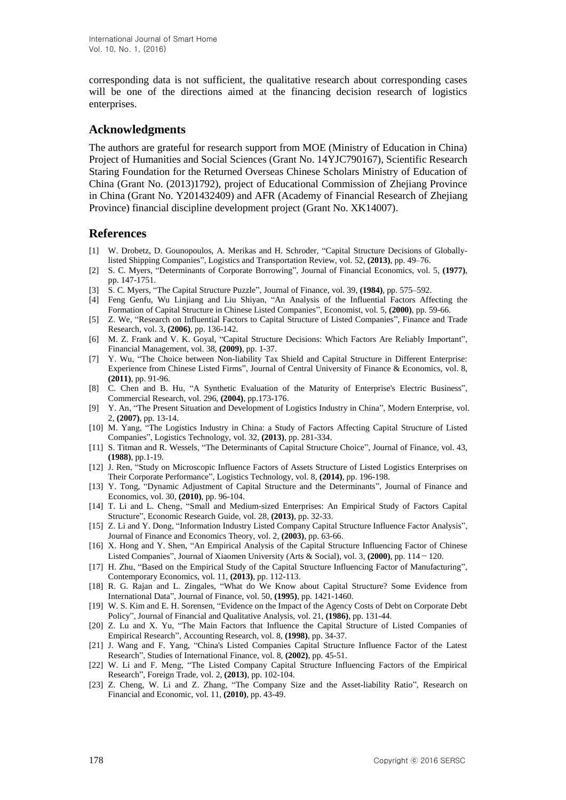corresponding data is not sufficient, the qualitative research about corresponding cases will be one of the directions aimed at the financing decision research of logistics enterprises.

### **Acknowledgments**

The authors are grateful for research support from MOE (Ministry of Education in China) Project of Humanities and Social Sciences (Grant No. 14YJC790167), Scientific Research Staring Foundation for the Returned Overseas Chinese Scholars Ministry of Education of China (Grant No. (2013)1792), project of Educational Commission of Zhejiang Province in China (Grant No. Y201432409) and AFR (Academy of Financial Research of Zhejiang Province) financial discipline development project (Grant No. XK14007).

# **References**

- [1] W. Drobetz, D. Gounopoulos, A. Merikas and H. Schroder, "Capital Structure Decisions of Globallylisted Shipping Companies", Logistics and Transportation Review, vol. 52, **(2013)**, pp. 49–76.
- [2] S. C. Myers, "Determinants of Corporate Borrowing", Journal of Financial Economics, vol. 5, **(1977)**, pp. 147-1751.
- [3] S. C. Myers, "The Capital Structure Puzzle", Journal of Finance, vol. 39, **(1984)**, pp. 575–592.
- [4] Feng Genfu, Wu Linjiang and Liu Shiyan, "An Analysis of the Influential Factors Affecting the Formation of Capital Structure in Chinese Listed Companies", Economist, vol. 5, **(2000)**, pp. 59-66.
- [5] Z. We, "Research on Influential Factors to Capital Structure of Listed Companies", Finance and Trade Research, vol. 3, **(2006)**, pp. 136-142.
- [6] M. Z. Frank and V. K. Goyal, "Capital Structure Decisions: Which Factors Are Reliably Important", Financial Management, vol. 38, **(2009)**, pp. 1-37.
- [7] Y. Wu, "The Choice between Non-liability Tax Shield and Capital Structure in Different Enterprise: Experience from Chinese Listed Firms", Journal of Central University of Finance & Economics, vol. 8, **(2011)**, pp. 91-96.
- [8] C. Chen and B. Hu, "A Synthetic Evaluation of the Maturity of Enterprise's Electric Business", Commercial Research, vol. 296, **(2004)**, pp.173-176.
- [9] Y. An, "The Present Situation and Development of Logistics Industry in China", Modern Enterprise, vol. 2, **(2007)**, pp. 13-14.
- [10] M. Yang, "The Logistics Industry in China: a Study of Factors Affecting Capital Structure of Listed Companies", Logistics Technology, vol. 32, **(2013)**, pp. 281-334.
- [11] S. Titman and R. Wessels, "The Determinants of Capital Structure Choice", Journal of Finance, vol. 43, **(1988)**, pp.1-19.
- [12] J. Ren, "Study on Microscopic Influence Factors of Assets Structure of Listed Logistics Enterprises on Their Corporate Performance", Logistics Technology, vol. 8, **(2014)**, pp. 196-198.
- [13] Y. Tong, "Dynamic Adjustment of Capital Structure and the Determinants", Journal of Finance and Economics, vol. 30, **(2010)**, pp. 96-104.
- [14] T. Li and L. Cheng, "Small and Medium-sized Enterprises: An Empirical Study of Factors Capital Structure", Economic Research Guide, vol. 28, **(2013)**, pp. 32-33.
- [15] Z. Li and Y. Dong, "Information Industry Listed Company Capital Structure Influence Factor Analysis", Journal of Finance and Economics Theory, vol. 2, **(2003)**, pp. 63-66.
- [16] X. Hong and Y. Shen, "An Empirical Analysis of the Capital Structure Influencing Factor of Chinese Listed Companies", Journal of Xiaomen University (Arts & Social), vol. 3, **(2000)**, pp. 114-120.
- [17] H. Zhu, "Based on the Empirical Study of the Capital Structure Influencing Factor of Manufacturing", Contemporary Economics, vol. 11, **(2013)**, pp. 112-113.
- [18] R. G. Rajan and L. Zingales, "What do We Know about Capital Structure? Some Evidence from International Data", Journal of Finance, vol. 50, **(1995)**, pp. 1421-1460.
- [19] W. S. Kim and E. H. Sorensen, "Evidence on the Impact of the Agency Costs of Debt on Corporate Debt Policy", Journal of Financial and Qualitative Analysis, vol. 21, **(1986)**, pp. 131-44.
- [20] Z. Lu and X. Yu, "The Main Factors that Influence the Capital Structure of Listed Companies of Empirical Research", Accounting Research, vol. 8, **(1998)**, pp. 34-37.
- [21] J. Wang and F. Yang, "China's Listed Companies Capital Structure Influence Factor of the Latest Research", Studies of International Finance, vol. 8, **(2002)**, pp. 45-51.
- [22] W. Li and F. Meng, "The Listed Company Capital Structure Influencing Factors of the Empirical Research", Foreign Trade, vol. 2, **(2013)**, pp. 102-104.
- [23] Z. Cheng, W. Li and Z. Zhang, "The Company Size and the Asset-liability Ratio", Research on Financial and Economic, vol. 11, **(2010)**, pp. 43-49.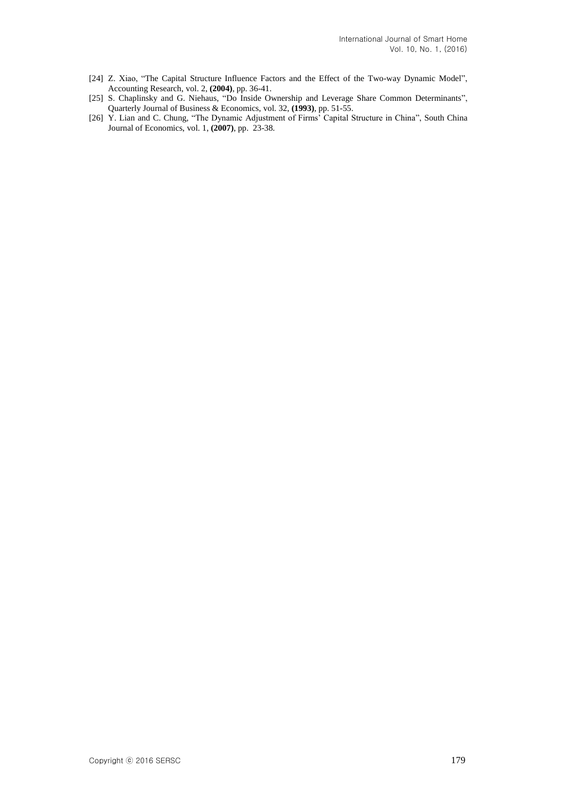- [24] Z. Xiao, "The Capital Structure Influence Factors and the Effect of the Two-way Dynamic Model", Accounting Research, vol. 2, **(2004)**, pp. 36-41.
- [25] S. Chaplinsky and G. Niehaus, "Do Inside Ownership and Leverage Share Common Determinants", Quarterly Journal of Business & Economics, vol. 32, **(1993)**, pp. 51-55.
- [26] Y. Lian and C. Chung, "The Dynamic Adjustment of Firms' Capital Structure in China", South China Journal of Economics, vol. 1, **(2007)**, pp. 23-38.